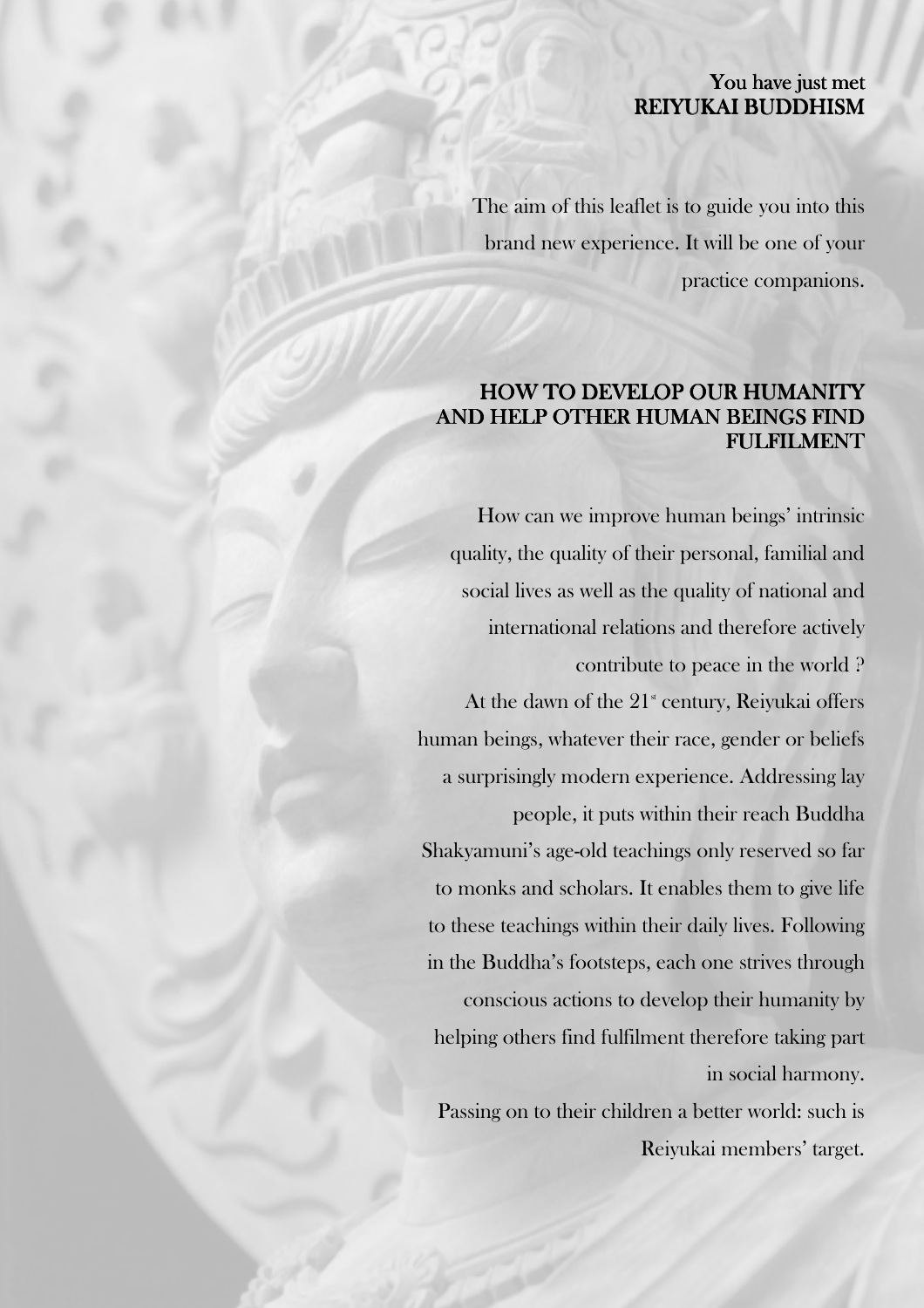## You have just met REIYUKAI BUDDHISM

The aim of this leaflet is to guide you into this brand new experience. It will be one of your practice companions.

# HOW TO DEVELOP OUR HUMANITY AND HELP OTHER HUMAN BEINGS FIND FULFILMENT FULFILMENT

How can we improve human beings' intrinsic quality, the quality of their personal, familial and social lives as well as the quality of national and international relations and therefore actively contribute to peace in the world ? At the dawn of the  $21^{\circ}$  century, Reiyukai offers human beings, whatever their race, gender or beliefs a surprisingly modern experience. Addressing lay people, it puts within their reach Buddha Shakyamuni's age-old teachings only reserved so far to monks and scholars. It enables them to give life to these teachings within their daily lives. Following in the Buddha's footsteps, each one strives through conscious actions to develop their humanity by helping others find fulfilment therefore taking part in social harmony. Passing on to their children a better world: such is Reiyukai members' target.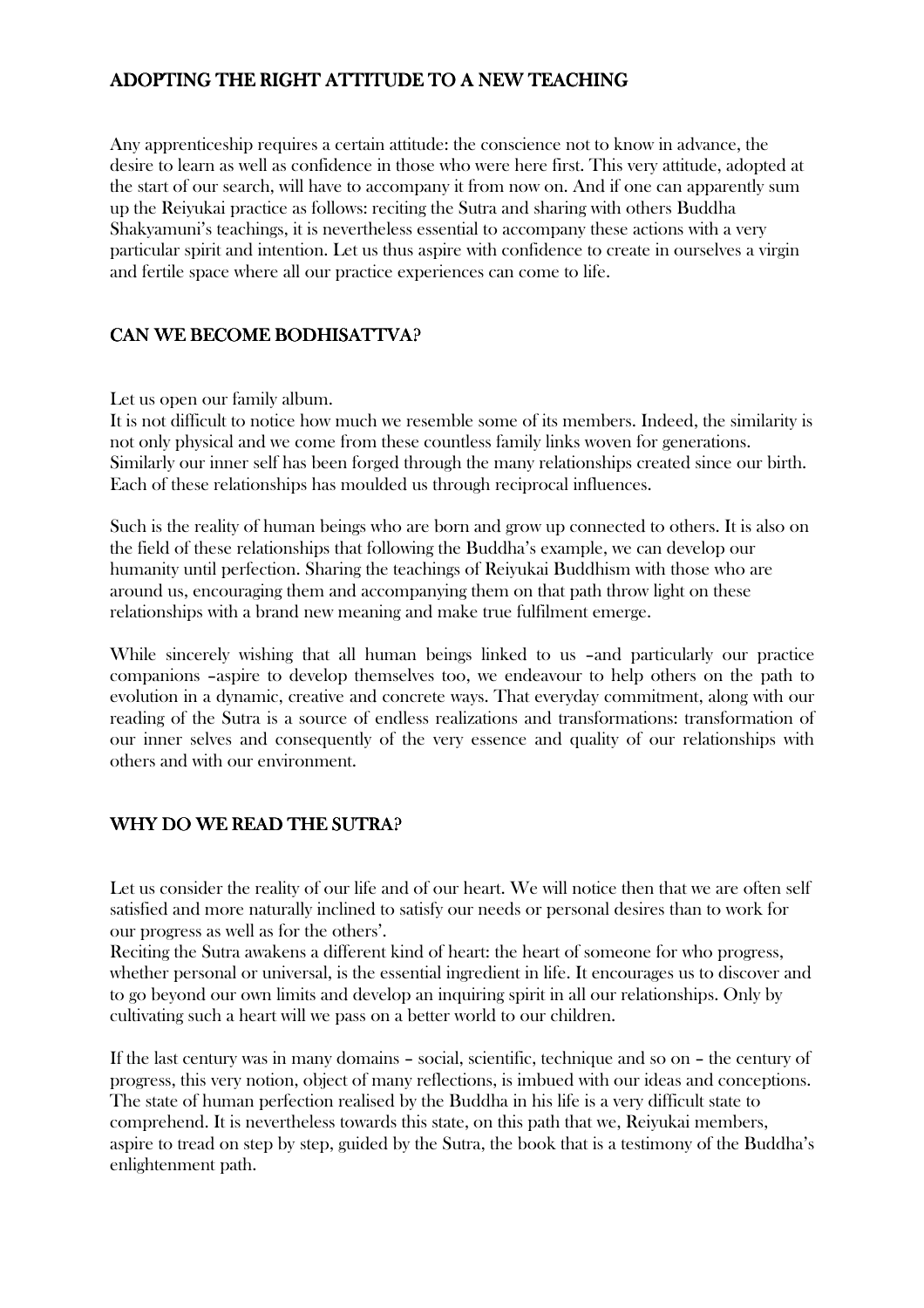## ADOPTING THE RIGHT ATTITUDE TO A NEW TEACHING

Any apprenticeship requires a certain attitude: the conscience not to know in advance, the desire to learn as well as confidence in those who were here first. This very attitude, adopted at the start of our search, will have to accompany it from now on. And if one can apparently sum up the Reiyukai practice as follows: reciting the Sutra and sharing with others Buddha Shakyamuni's teachings, it is nevertheless essential to accompany these actions with a very particular spirit and intention. Let us thus aspire with confidence to create in ourselves a virgin and fertile space where all our practice experiences can come to life.

#### CAN WE BECOME BODHISATTVA?

Let us open our family album.

It is not difficult to notice how much we resemble some of its members. Indeed, the similarity is not only physical and we come from these countless family links woven for generations. Similarly our inner self has been forged through the many relationships created since our birth. Each of these relationships has moulded us through reciprocal influences.

Such is the reality of human beings who are born and grow up connected to others. It is also on the field of these relationships that following the Buddha's example, we can develop our humanity until perfection. Sharing the teachings of Reiyukai Buddhism with those who are around us, encouraging them and accompanying them on that path throw light on these relationships with a brand new meaning and make true fulfilment emerge.

While sincerely wishing that all human beings linked to us –and particularly our practice companions –aspire to develop themselves too, we endeavour to help others on the path to evolution in a dynamic, creative and concrete ways. That everyday commitment, along with our reading of the Sutra is a source of endless realizations and transformations: transformation of our inner selves and consequently of the very essence and quality of our relationships with others and with our environment.

### WHY DO WE READ THE SUTRA?

Let us consider the reality of our life and of our heart. We will notice then that we are often self satisfied and more naturally inclined to satisfy our needs or personal desires than to work for our progress as well as for the others'.

Reciting the Sutra awakens a different kind of heart: the heart of someone for who progress, whether personal or universal, is the essential ingredient in life. It encourages us to discover and to go beyond our own limits and develop an inquiring spirit in all our relationships. Only by cultivating such a heart will we pass on a better world to our children.

If the last century was in many domains – social, scientific, technique and so on – the century of progress, this very notion, object of many reflections, is imbued with our ideas and conceptions. The state of human perfection realised by the Buddha in his life is a very difficult state to comprehend. It is nevertheless towards this state, on this path that we, Reiyukai members, aspire to tread on step by step, guided by the Sutra, the book that is a testimony of the Buddha's enlightenment path.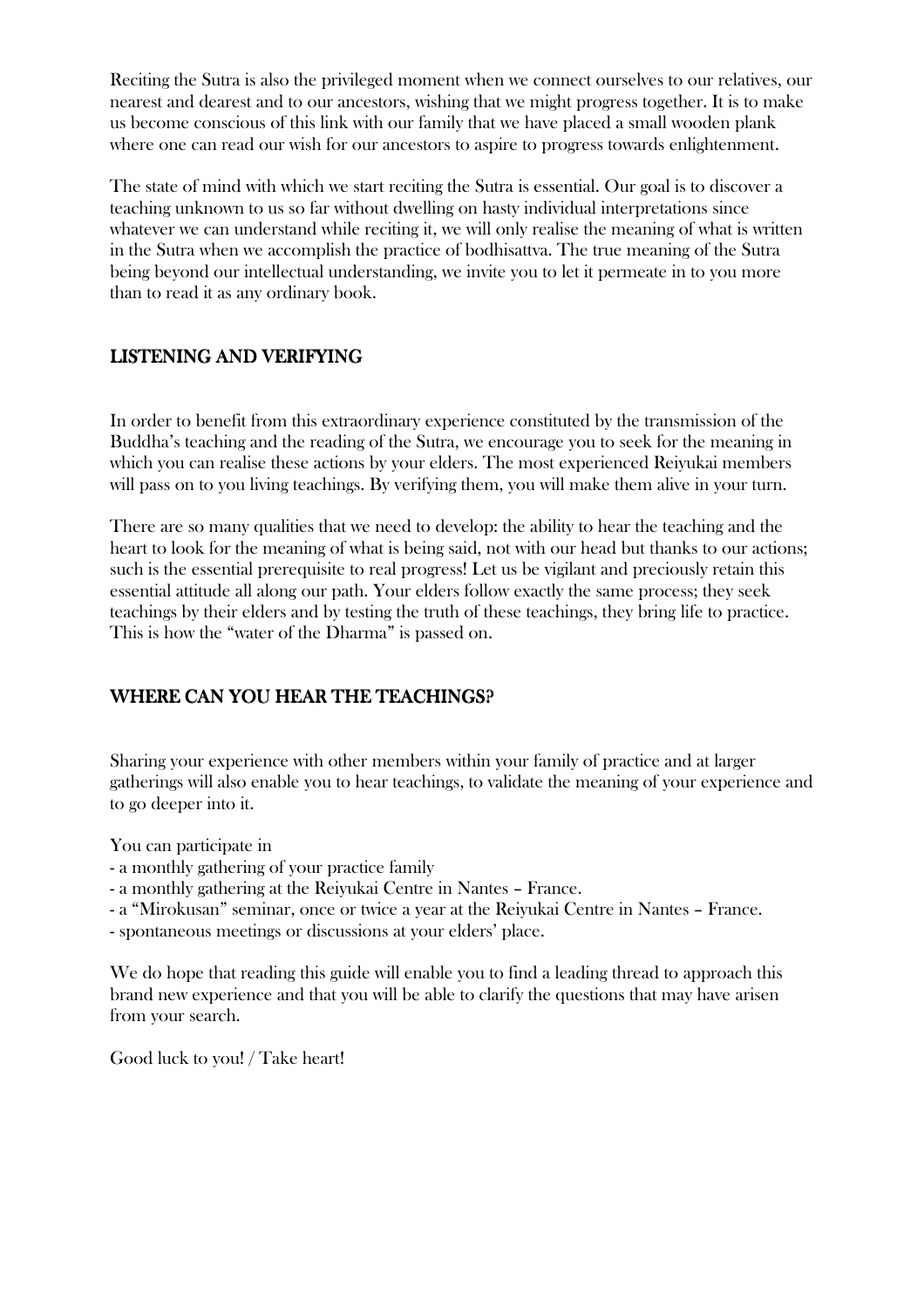Reciting the Sutra is also the privileged moment when we connect ourselves to our relatives, our nearest and dearest and to our ancestors, wishing that we might progress together. It is to make us become conscious of this link with our family that we have placed a small wooden plank where one can read our wish for our ancestors to aspire to progress towards enlightenment.

The state of mind with which we start reciting the Sutra is essential. Our goal is to discover a teaching unknown to us so far without dwelling on hasty individual interpretations since whatever we can understand while reciting it, we will only realise the meaning of what is written in the Sutra when we accomplish the practice of bodhisattva. The true meaning of the Sutra being beyond our intellectual understanding, we invite you to let it permeate in to you more than to read it as any ordinary book.

# LISTENING AND VERIFYING

In order to benefit from this extraordinary experience constituted by the transmission of the Buddha's teaching and the reading of the Sutra, we encourage you to seek for the meaning in which you can realise these actions by your elders. The most experienced Reiyukai members will pass on to you living teachings. By verifying them, you will make them alive in your turn.

There are so many qualities that we need to develop: the ability to hear the teaching and the heart to look for the meaning of what is being said, not with our head but thanks to our actions; such is the essential prerequisite to real progress! Let us be vigilant and preciously retain this essential attitude all along our path. Your elders follow exactly the same process; they seek teachings by their elders and by testing the truth of these teachings, they bring life to practice. This is how the "water of the Dharma" is passed on.

## WHERE CAN YOU HEAR THE TEACHINGS?

Sharing your experience with other members within your family of practice and at larger gatherings will also enable you to hear teachings, to validate the meaning of your experience and to go deeper into it.

You can participate in

- a monthly gathering of your practice family

- a monthly gathering at the Reiyukai Centre in Nantes – France.

- a "Mirokusan" seminar, once or twice a year at the Reiyukai Centre in Nantes – France.

- spontaneous meetings or discussions at your elders' place.

We do hope that reading this guide will enable you to find a leading thread to approach this brand new experience and that you will be able to clarify the questions that may have arisen from your search.

Good luck to you! / Take heart!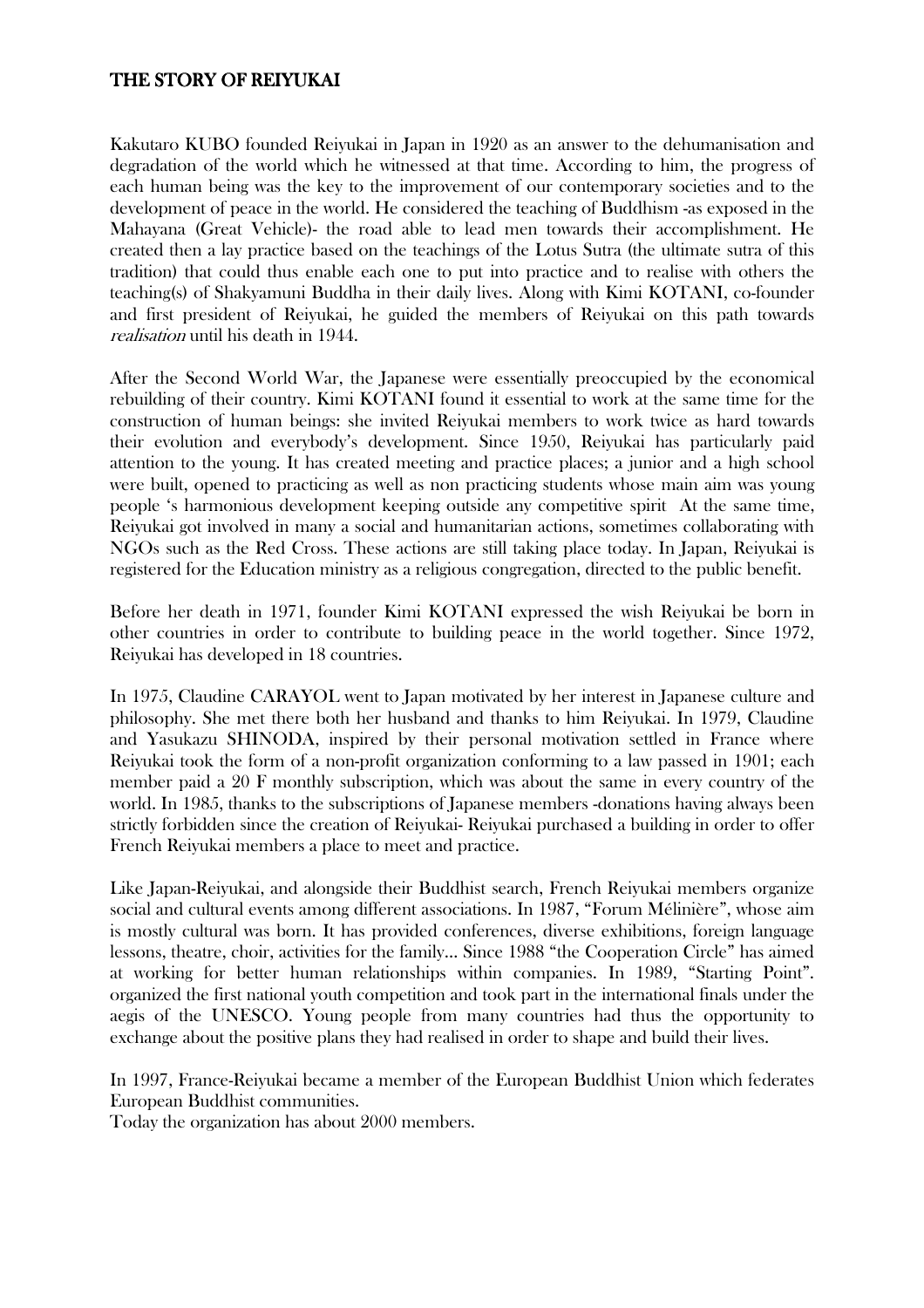#### THE STORY OF REIYUKAI

Kakutaro KUBO founded Reiyukai in Japan in 1920 as an answer to the dehumanisation and degradation of the world which he witnessed at that time. According to him, the progress of each human being was the key to the improvement of our contemporary societies and to the development of peace in the world. He considered the teaching of Buddhism -as exposed in the Mahayana (Great Vehicle)- the road able to lead men towards their accomplishment. He created then a lay practice based on the teachings of the Lotus Sutra (the ultimate sutra of this tradition) that could thus enable each one to put into practice and to realise with others the teaching(s) of Shakyamuni Buddha in their daily lives. Along with Kimi KOTANI, co-founder and first president of Reiyukai, he guided the members of Reiyukai on this path towards realisation until his death in 1944.

After the Second World War, the Japanese were essentially preoccupied by the economical rebuilding of their country. Kimi KOTANI found it essential to work at the same time for the construction of human beings: she invited Reiyukai members to work twice as hard towards their evolution and everybody's development. Since 1950, Reiyukai has particularly paid attention to the young. It has created meeting and practice places; a junior and a high school were built, opened to practicing as well as non practicing students whose main aim was young people 's harmonious development keeping outside any competitive spirit At the same time, Reiyukai got involved in many a social and humanitarian actions, sometimes collaborating with NGOs such as the Red Cross. These actions are still taking place today. In Japan, Reiyukai is registered for the Education ministry as a religious congregation, directed to the public benefit.

Before her death in 1971, founder Kimi KOTANI expressed the wish Reiyukai be born in other countries in order to contribute to building peace in the world together. Since 1972, Reiyukai has developed in 18 countries.

In 1975, Claudine CARAYOL went to Japan motivated by her interest in Japanese culture and philosophy. She met there both her husband and thanks to him Reiyukai. In 1979, Claudine and Yasukazu SHINODA, inspired by their personal motivation settled in France where Reiyukai took the form of a non-profit organization conforming to a law passed in 1901; each member paid a 20 F monthly subscription, which was about the same in every country of the world. In 1985, thanks to the subscriptions of Japanese members -donations having always been strictly forbidden since the creation of Reiyukai- Reiyukai purchased a building in order to offer French Reiyukai members a place to meet and practice.

Like Japan-Reiyukai, and alongside their Buddhist search, French Reiyukai members organize social and cultural events among different associations. In 1987, "Forum Mélinière", whose aim is mostly cultural was born. It has provided conferences, diverse exhibitions, foreign language lessons, theatre, choir, activities for the family… Since 1988 "the Cooperation Circle" has aimed at working for better human relationships within companies. In 1989, "Starting Point". organized the first national youth competition and took part in the international finals under the aegis of the UNESCO. Young people from many countries had thus the opportunity to exchange about the positive plans they had realised in order to shape and build their lives.

In 1997, France-Reiyukai became a member of the European Buddhist Union which federates European Buddhist communities.

Today the organization has about 2000 members.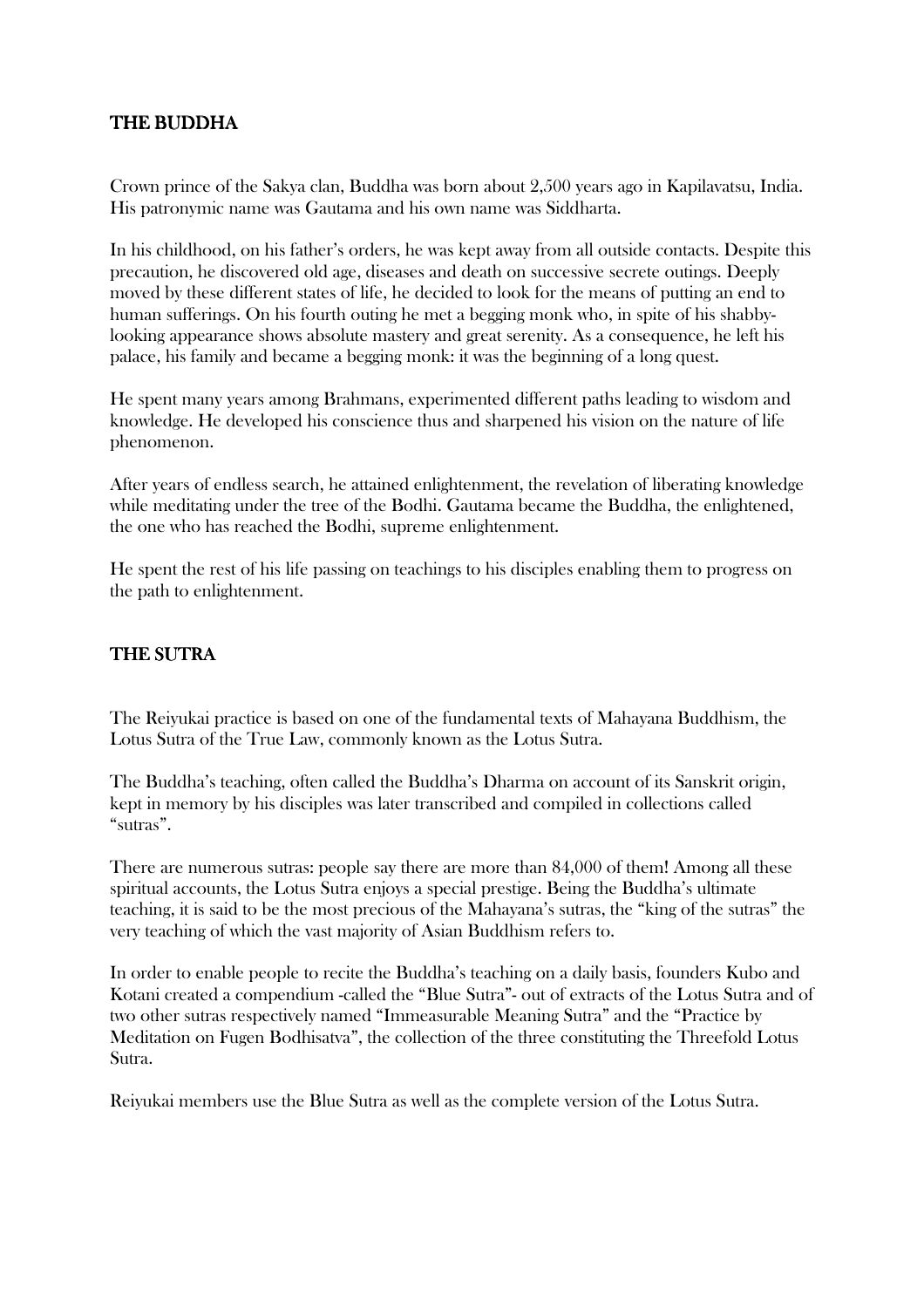#### THE BUDDHA THE BUDDHA

Crown prince of the Sakya clan, Buddha was born about 2,500 years ago in Kapilavatsu, India. His patronymic name was Gautama and his own name was Siddharta.

In his childhood, on his father's orders, he was kept away from all outside contacts. Despite this precaution, he discovered old age, diseases and death on successive secrete outings. Deeply moved by these different states of life, he decided to look for the means of putting an end to human sufferings. On his fourth outing he met a begging monk who, in spite of his shabbylooking appearance shows absolute mastery and great serenity. As a consequence, he left his palace, his family and became a begging monk: it was the beginning of a long quest.

He spent many years among Brahmans, experimented different paths leading to wisdom and knowledge. He developed his conscience thus and sharpened his vision on the nature of life phenomenon.

After years of endless search, he attained enlightenment, the revelation of liberating knowledge while meditating under the tree of the Bodhi. Gautama became the Buddha, the enlightened, the one who has reached the Bodhi, supreme enlightenment.

He spent the rest of his life passing on teachings to his disciples enabling them to progress on the path to enlightenment.

#### THE SUTRA

The Reiyukai practice is based on one of the fundamental texts of Mahayana Buddhism, the Lotus Sutra of the True Law, commonly known as the Lotus Sutra.

The Buddha's teaching, often called the Buddha's Dharma on account of its Sanskrit origin, kept in memory by his disciples was later transcribed and compiled in collections called "sutras".

There are numerous sutras: people say there are more than 84,000 of them! Among all these spiritual accounts, the Lotus Sutra enjoys a special prestige. Being the Buddha's ultimate teaching, it is said to be the most precious of the Mahayana's sutras, the "king of the sutras" the very teaching of which the vast majority of Asian Buddhism refers to.

In order to enable people to recite the Buddha's teaching on a daily basis, founders Kubo and Kotani created a compendium -called the "Blue Sutra"- out of extracts of the Lotus Sutra and of two other sutras respectively named "Immeasurable Meaning Sutra" and the "Practice by Meditation on Fugen Bodhisatva", the collection of the three constituting the Threefold Lotus Sutra.

Reiyukai members use the Blue Sutra as well as the complete version of the Lotus Sutra.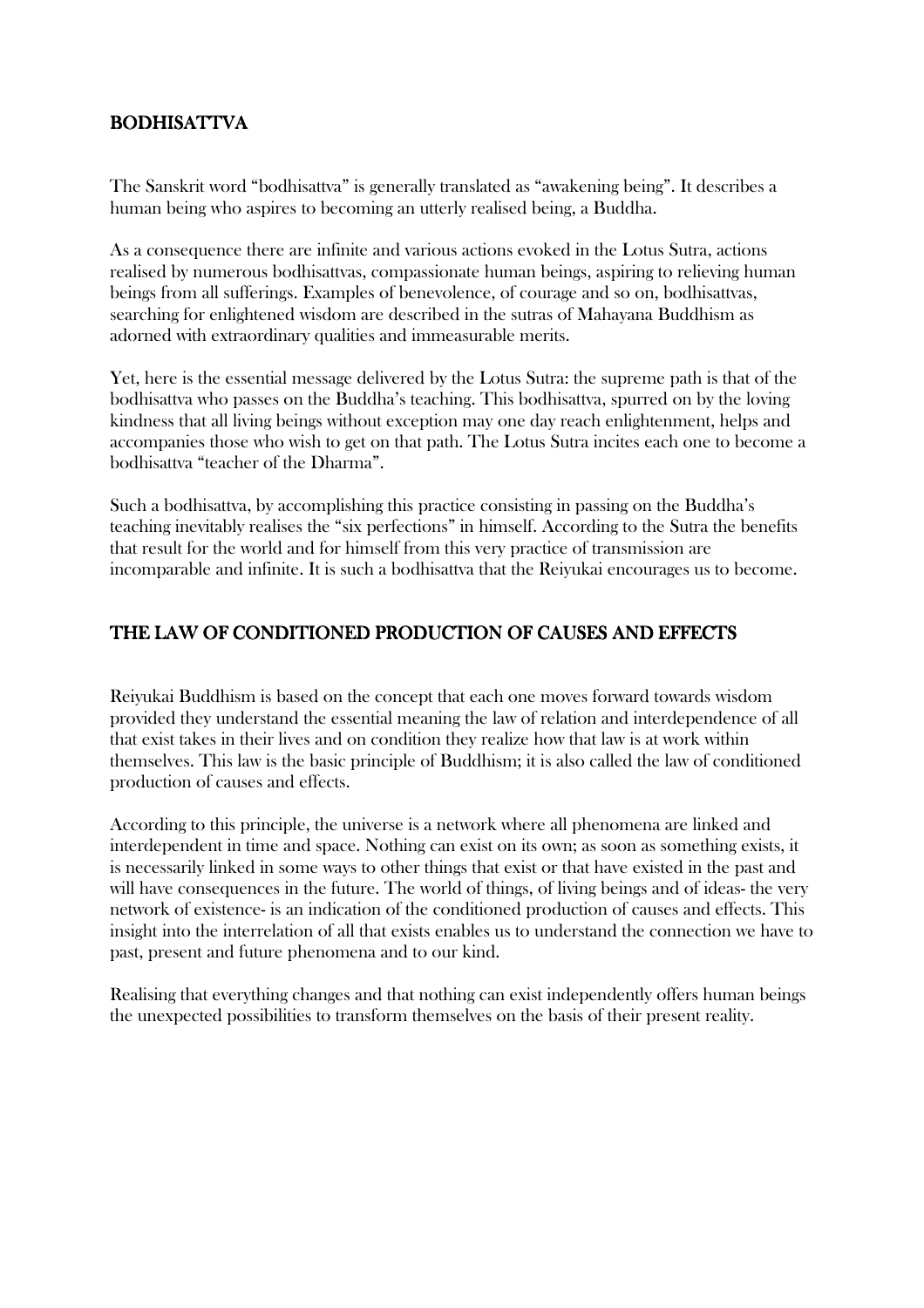## BODHISATTVA BODHISATTVA

The Sanskrit word "bodhisattva" is generally translated as "awakening being". It describes a human being who aspires to becoming an utterly realised being, a Buddha.

As a consequence there are infinite and various actions evoked in the Lotus Sutra, actions realised by numerous bodhisattvas, compassionate human beings, aspiring to relieving human beings from all sufferings. Examples of benevolence, of courage and so on, bodhisattvas, searching for enlightened wisdom are described in the sutras of Mahayana Buddhism as adorned with extraordinary qualities and immeasurable merits.

Yet, here is the essential message delivered by the Lotus Sutra: the supreme path is that of the bodhisattva who passes on the Buddha's teaching. This bodhisattva, spurred on by the loving kindness that all living beings without exception may one day reach enlightenment, helps and accompanies those who wish to get on that path. The Lotus Sutra incites each one to become a bodhisattva "teacher of the Dharma".

Such a bodhisattva, by accomplishing this practice consisting in passing on the Buddha's teaching inevitably realises the "six perfections" in himself. According to the Sutra the benefits that result for the world and for himself from this very practice of transmission are incomparable and infinite. It is such a bodhisattva that the Reiyukai encourages us to become.

## THE LAW OF CONDITIONED PRODUCTION OF CAUSES AND EFFECTS

Reiyukai Buddhism is based on the concept that each one moves forward towards wisdom provided they understand the essential meaning the law of relation and interdependence of all that exist takes in their lives and on condition they realize how that law is at work within themselves. This law is the basic principle of Buddhism; it is also called the law of conditioned production of causes and effects.

According to this principle, the universe is a network where all phenomena are linked and interdependent in time and space. Nothing can exist on its own; as soon as something exists, it is necessarily linked in some ways to other things that exist or that have existed in the past and will have consequences in the future. The world of things, of living beings and of ideas- the very network of existence- is an indication of the conditioned production of causes and effects. This insight into the interrelation of all that exists enables us to understand the connection we have to past, present and future phenomena and to our kind.

Realising that everything changes and that nothing can exist independently offers human beings the unexpected possibilities to transform themselves on the basis of their present reality.